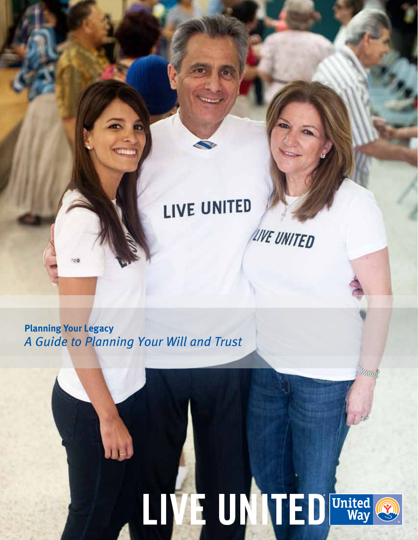# LIVE UNITED

**LIVE UNITED** 

**Planning Your Legacy** *A Guide to Planning Your Will and Trust*

# LIVE UNITED United



**Road**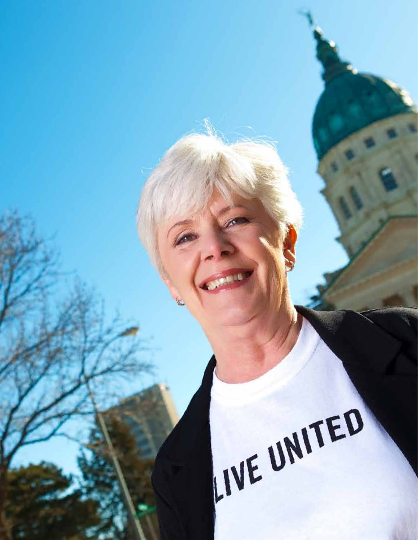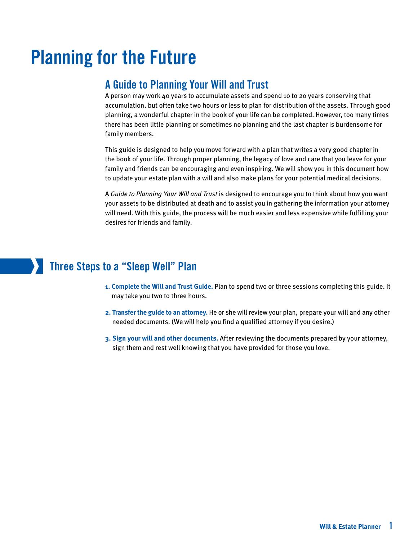# **Planning for the Future**

### **A Guide to Planning Your Will and Trust**

A person may work 40 years to accumulate assets and spend 10 to 20 years conserving that accumulation, but often take two hours or less to plan for distribution of the assets. Through good planning, a wonderful chapter in the book of your life can be completed. However, too many times there has been little planning or sometimes no planning and the last chapter is burdensome for family members.

This guide is designed to help you move forward with a plan that writes a very good chapter in the book of your life. Through proper planning, the legacy of love and care that you leave for your family and friends can be encouraging and even inspiring. We will show you in this document how to update your estate plan with a will and also make plans for your potential medical decisions.

A *Guide to Planning Your Will and Trust* is designed to encourage you to think about how you want your assets to be distributed at death and to assist you in gathering the information your attorney will need. With this guide, the process will be much easier and less expensive while fulfilling your desires for friends and family.

### **Three Steps to a "Sleep Well" Plan**

- **1. Complete the Will and Trust Guide.** Plan to spend two or three sessions completing this guide. It may take you two to three hours.
- **2. Transfer the guide to an attorney.** He or she will review your plan, prepare your will and any other needed documents. (We will help you find a qualified attorney if you desire.)
- **3. Sign your will and other documents.** After reviewing the documents prepared by your attorney, sign them and rest well knowing that you have provided for those you love.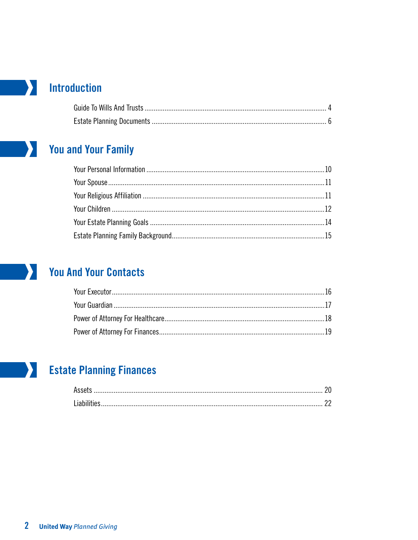### **Introduction**

 $\bm{\Sigma}$ 

# You and Your Family

### You And Your Contacts

### Estate Planning Finances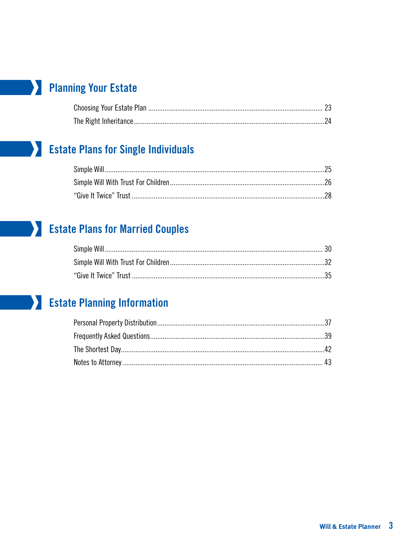### Planning Your Estate

# Estate Plans for Single Individuals

# Estate Plans for Married Couples

# **Estate Planning Information**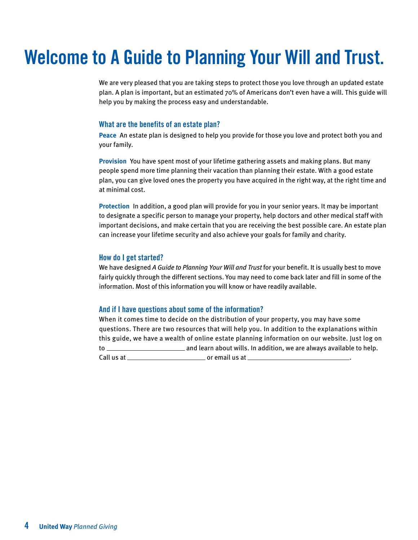# **Welcome to A Guide to Planning Your Will and Trust.**

We are very pleased that you are taking steps to protect those you love through an updated estate plan. A plan is important, but an estimated 70% of Americans don't even have a will. This guide will help you by making the process easy and understandable.

#### **What are the benefits of an estate plan?**

**Peace** An estate plan is designed to help you provide for those you love and protect both you and your family.

**Provision** You have spent most of your lifetime gathering assets and making plans. But many people spend more time planning their vacation than planning their estate. With a good estate plan, you can give loved ones the property you have acquired in the right way, at the right time and at minimal cost.

**Protection** In addition, a good plan will provide for you in your senior years. It may be important to designate a specific person to manage your property, help doctors and other medical staff with important decisions, and make certain that you are receiving the best possible care. An estate plan can increase your lifetime security and also achieve your goals for family and charity.

#### **How do I get started?**

We have designed *A Guide to Planning Your Will and Trust* for your benefit. It is usually best to move fairly quickly through the different sections. You may need to come back later and fill in some of the information. Most of this information you will know or have readily available.

#### **And if I have questions about some of the information?**

When it comes time to decide on the distribution of your property, you may have some questions. There are two resources that will help you. In addition to the explanations within this guide, we have a wealth of online estate planning information on our website. Just log on to and learn about wills. In addition, we are always available to help.

Call us at or email us at .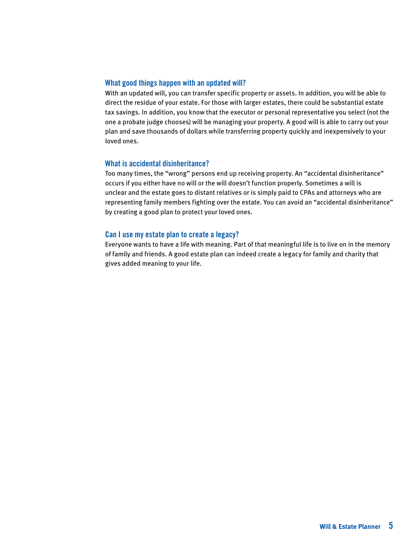#### **What good things happen with an updated will?**

With an updated will, you can transfer specific property or assets. In addition, you will be able to direct the residue of your estate. For those with larger estates, there could be substantial estate tax savings. In addition, you know that the executor or personal representative you select (not the one a probate judge chooses) will be managing your property. A good will is able to carry out your plan and save thousands of dollars while transferring property quickly and inexpensively to your loved ones.

#### **What is accidental disinheritance?**

Too many times, the "wrong" persons end up receiving property. An "accidental disinheritance" occurs if you either have no will or the will doesn't function properly. Sometimes a will is unclear and the estate goes to distant relatives or is simply paid to CPAs and attorneys who are representing family members fighting over the estate. You can avoid an "accidental disinheritance" by creating a good plan to protect your loved ones.

#### **Can I use my estate plan to create a legacy?**

Everyone wants to have a life with meaning. Part of that meaningful life is to live on in the memory of family and friends. A good estate plan can indeed create a legacy for family and charity that gives added meaning to your life.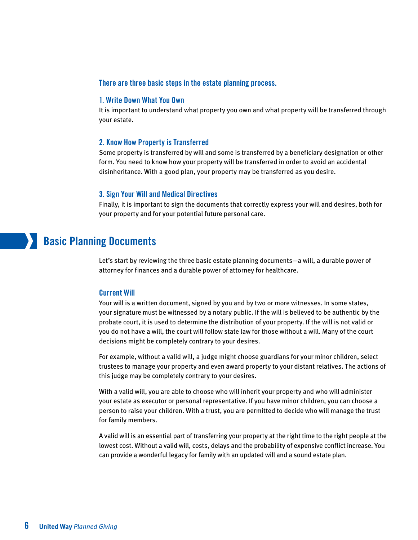#### **There are three basic steps in the estate planning process.**

#### **1. Write Down What You Own**

It is important to understand what property you own and what property will be transferred through your estate.

#### **2. Know How Property is Transferred**

Some property is transferred by will and some is transferred by a beneficiary designation or other form. You need to know how your property will be transferred in order to avoid an accidental disinheritance. With a good plan, your property may be transferred as you desire.

#### **3. Sign Your Will and Medical Directives**

Finally, it is important to sign the documents that correctly express your will and desires, both for your property and for your potential future personal care.

### **Basic Planning Documents**

Let's start by reviewing the three basic estate planning documents—a will, a durable power of attorney for finances and a durable power of attorney for healthcare.

#### **Current Will**

Your will is a written document, signed by you and by two or more witnesses. In some states, your signature must be witnessed by a notary public. If the will is believed to be authentic by the probate court, it is used to determine the distribution of your property. If the will is not valid or you do not have a will, the court will follow state law for those without a will. Many of the court decisions might be completely contrary to your desires.

For example, without a valid will, a judge might choose guardians for your minor children, select trustees to manage your property and even award property to your distant relatives. The actions of this judge may be completely contrary to your desires.

With a valid will, you are able to choose who will inherit your property and who will administer your estate as executor or personal representative. If you have minor children, you can choose a person to raise your children. With a trust, you are permitted to decide who will manage the trust for family members.

A valid will is an essential part of transferring your property at the right time to the right people at the lowest cost. Without a valid will, costs, delays and the probability of expensive conflict increase. You can provide a wonderful legacy for family with an updated will and a sound estate plan.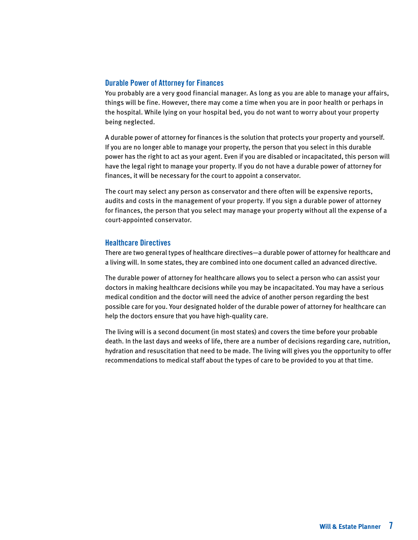#### **Durable Power of Attorney for Finances**

You probably are a very good financial manager. As long as you are able to manage your affairs, things will be fine. However, there may come a time when you are in poor health or perhaps in the hospital. While lying on your hospital bed, you do not want to worry about your property being neglected.

A durable power of attorney for finances is the solution that protects your property and yourself. If you are no longer able to manage your property, the person that you select in this durable power has the right to act as your agent. Even if you are disabled or incapacitated, this person will have the legal right to manage your property. If you do not have a durable power of attorney for finances, it will be necessary for the court to appoint a conservator.

The court may select any person as conservator and there often will be expensive reports, audits and costs in the management of your property. If you sign a durable power of attorney for finances, the person that you select may manage your property without all the expense of a court-appointed conservator.

#### **Healthcare Directives**

There are two general types of healthcare directives—a durable power of attorney for healthcare and a living will. In some states, they are combined into one document called an advanced directive.

The durable power of attorney for healthcare allows you to select a person who can assist your doctors in making healthcare decisions while you may be incapacitated. You may have a serious medical condition and the doctor will need the advice of another person regarding the best possible care for you. Your designated holder of the durable power of attorney for healthcare can help the doctors ensure that you have high-quality care.

The living will is a second document (in most states) and covers the time before your probable death. In the last days and weeks of life, there are a number of decisions regarding care, nutrition, hydration and resuscitation that need to be made. The living will gives you the opportunity to offer recommendations to medical staff about the types of care to be provided to you at that time.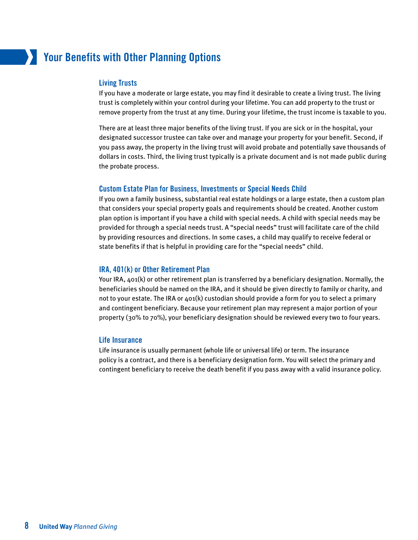### **Your Benefits with Other Planning Options**

#### **Living Trusts**

If you have a moderate or large estate, you may find it desirable to create a living trust. The living trust is completely within your control during your lifetime. You can add property to the trust or remove property from the trust at any time. During your lifetime, the trust income is taxable to you.

There are at least three major benefits of the living trust. If you are sick or in the hospital, your designated successor trustee can take over and manage your property for your benefit. Second, if you pass away, the property in the living trust will avoid probate and potentially save thousands of dollars in costs. Third, the living trust typically is a private document and is not made public during the probate process.

#### **Custom Estate Plan for Business, Investments or Special Needs Child**

If you own a family business, substantial real estate holdings or a large estate, then a custom plan that considers your special property goals and requirements should be created. Another custom plan option is important if you have a child with special needs. A child with special needs may be provided for through a special needs trust. A "special needs" trust will facilitate care of the child by providing resources and directions. In some cases, a child may qualify to receive federal or state benefits if that is helpful in providing care for the "special needs" child.

#### **IRA, 401(k) or Other Retirement Plan**

Your IRA, 401(k) or other retirement plan is transferred by a beneficiary designation. Normally, the beneficiaries should be named on the IRA, and it should be given directly to family or charity, and not to your estate. The IRA or 401(k) custodian should provide a form for you to select a primary and contingent beneficiary. Because your retirement plan may represent a major portion of your property (30% to 70%), your beneficiary designation should be reviewed every two to four years.

#### **Life Insurance**

Life insurance is usually permanent (whole life or universal life) or term. The insurance policy is a contract, and there is a beneficiary designation form. You will select the primary and contingent beneficiary to receive the death benefit if you pass away with a valid insurance policy.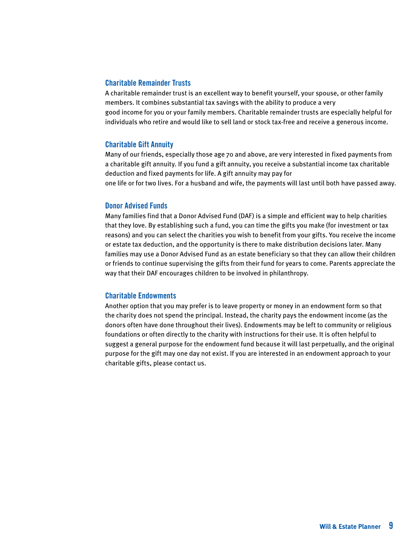#### **Charitable Remainder Trusts**

A charitable remainder trust is an excellent way to benefit yourself, your spouse, or other family members. It combines substantial tax savings with the ability to produce a very good income for you or your family members. Charitable remainder trusts are especially helpful for individuals who retire and would like to sell land or stock tax-free and receive a generous income.

#### **Charitable Gift Annuity**

Many of our friends, especially those age 70 and above, are very interested in fixed payments from a charitable gift annuity. If you fund a gift annuity, you receive a substantial income tax charitable deduction and fixed payments for life. A gift annuity may pay for

one life or for two lives. For a husband and wife, the payments will last until both have passed away.

#### **Donor Advised Funds**

Many families find that a Donor Advised Fund (DAF) is a simple and efficient way to help charities that they love. By establishing such a fund, you can time the gifts you make (for investment or tax reasons) and you can select the charities you wish to benefit from your gifts. You receive the income or estate tax deduction, and the opportunity is there to make distribution decisions later. Many families may use a Donor Advised Fund as an estate beneficiary so that they can allow their children or friends to continue supervising the gifts from their fund for years to come. Parents appreciate the way that their DAF encourages children to be involved in philanthropy.

#### **Charitable Endowments**

Another option that you may prefer is to leave property or money in an endowment form so that the charity does not spend the principal. Instead, the charity pays the endowment income (as the donors often have done throughout their lives). Endowments may be left to community or religious foundations or often directly to the charity with instructions for their use. It is often helpful to suggest a general purpose for the endowment fund because it will last perpetually, and the original purpose for the gift may one day not exist. If you are interested in an endowment approach to your charitable gifts, please contact us.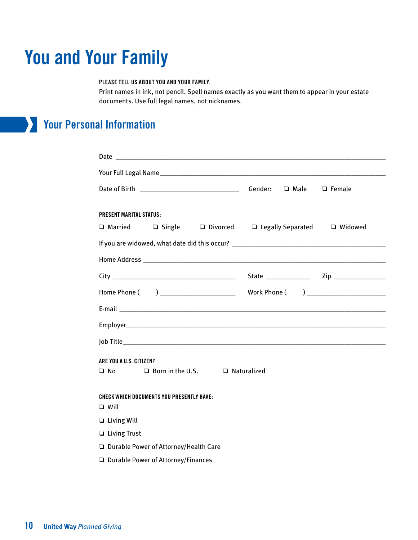# **You and Your Family**

#### **Please tell us about you and your family.**

Print names in ink, not pencil. Spell names exactly as you want them to appear in your estate documents. Use full legal names, not nicknames.

### **Your Personal Information**

| Date                                                            |                                            |  |  |
|-----------------------------------------------------------------|--------------------------------------------|--|--|
|                                                                 |                                            |  |  |
|                                                                 |                                            |  |  |
| <b>PRESENT MARITAL STATUS:</b>                                  |                                            |  |  |
| □ Married □ Single □ Divorced □ Legally Separated □ Widowed     |                                            |  |  |
|                                                                 |                                            |  |  |
|                                                                 |                                            |  |  |
|                                                                 |                                            |  |  |
|                                                                 |                                            |  |  |
|                                                                 |                                            |  |  |
|                                                                 |                                            |  |  |
|                                                                 |                                            |  |  |
| ARE YOU A U.S. CITIZEN?<br>$\Box$ No                            | $\Box$ Born in the U.S. $\Box$ Naturalized |  |  |
| <b>CHECK WHICH DOCUMENTS YOU PRESENTLY HAVE:</b><br>$\Box$ Will |                                            |  |  |
| $\Box$ Living Will                                              |                                            |  |  |
| $\Box$ Living Trust                                             |                                            |  |  |
| □ Durable Power of Attorney/Health Care                         |                                            |  |  |
| □ Durable Power of Attorney/Finances                            |                                            |  |  |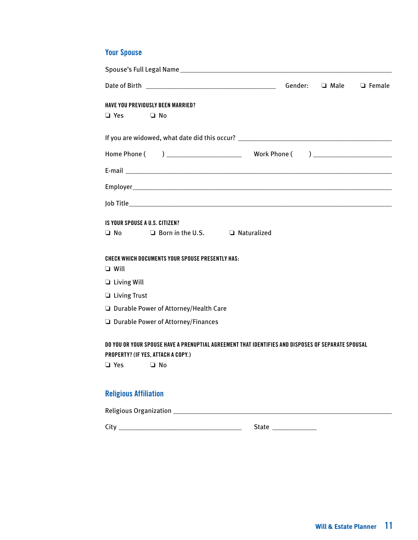#### **Your Spouse**

|                                                                                                                                                                     | Gender: <b>Q Male Q Female</b> |
|---------------------------------------------------------------------------------------------------------------------------------------------------------------------|--------------------------------|
| <b>HAVE YOU PREVIOUSLY BEEN MARRIED?</b><br>$\Box$ Yes<br><b>D</b> No                                                                                               |                                |
|                                                                                                                                                                     |                                |
|                                                                                                                                                                     |                                |
|                                                                                                                                                                     |                                |
|                                                                                                                                                                     |                                |
|                                                                                                                                                                     |                                |
| IS YOUR SPOUSE A U.S. CITIZEN?<br>$\Box$ Born in the U.S. $\Box$ Naturalized<br>$\Box$ No                                                                           |                                |
| <b>CHECK WHICH DOCUMENTS YOUR SPOUSE PRESENTLY HAS:</b><br>$\Box$ Will                                                                                              |                                |
| $\Box$ Living Will                                                                                                                                                  |                                |
| $\Box$ Living Trust                                                                                                                                                 |                                |
| □ Durable Power of Attorney/Health Care                                                                                                                             |                                |
| □ Durable Power of Attorney/Finances                                                                                                                                |                                |
| DO YOU OR YOUR SPOUSE HAVE A PRENUPTIAL AGREEMENT THAT IDENTIFIES AND DISPOSES OF SEPARATE SPOUSAL<br>PROPERTY? (IF YES, ATTACH A COPY.)<br>$\Box$ Yes<br>$\Box$ No |                                |
| <b>Religious Affiliation</b>                                                                                                                                        |                                |
|                                                                                                                                                                     |                                |

City \_\_\_\_\_\_\_\_\_\_\_\_\_\_\_\_\_\_\_\_\_\_\_\_\_\_\_\_\_\_\_\_\_\_\_\_ State \_\_\_\_\_\_\_\_\_\_\_\_\_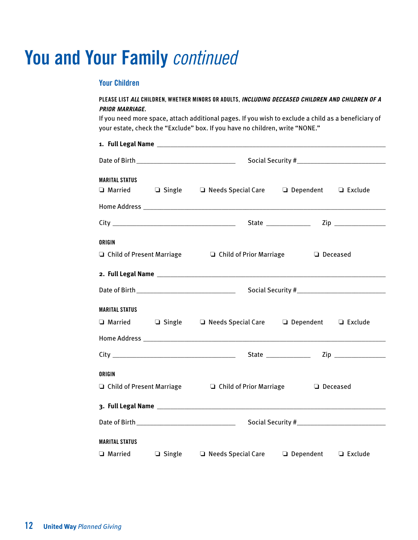# **You and Your Family** *continued*

#### **Your Children**

#### **Please list** *all* **children, whether minors or adults,** *including deceased children and children of a prior marriage.*

If you need more space, attach additional pages. If you wish to exclude a child as a beneficiary of your estate, check the "Exclude" box. If you have no children, write "NONE."

| <b>MARITAL STATUS</b> |                                                                                 |  |
|-----------------------|---------------------------------------------------------------------------------|--|
|                       | □ Married → Gingle → Needs Special Care → Dependent → Exclude                   |  |
|                       |                                                                                 |  |
|                       |                                                                                 |  |
| ORIGIN                |                                                                                 |  |
|                       | $\Box$ Child of Present Marriage $\Box$ Child of Prior Marriage $\Box$ Deceased |  |
|                       |                                                                                 |  |
|                       |                                                                                 |  |
| <b>MARITAL STATUS</b> |                                                                                 |  |
|                       | □ Married → Ingle → Ineeds Special Care → Dependent → Exclude                   |  |
|                       |                                                                                 |  |
|                       |                                                                                 |  |
| ORIGIN                |                                                                                 |  |
|                       | □ Child of Present Marriage □ Child of Prior Marriage □ Deceased                |  |
|                       |                                                                                 |  |
|                       |                                                                                 |  |
| <b>MARITAL STATUS</b> |                                                                                 |  |
|                       | □ Married U Single U Needs Special Care U Dependent U Exclude                   |  |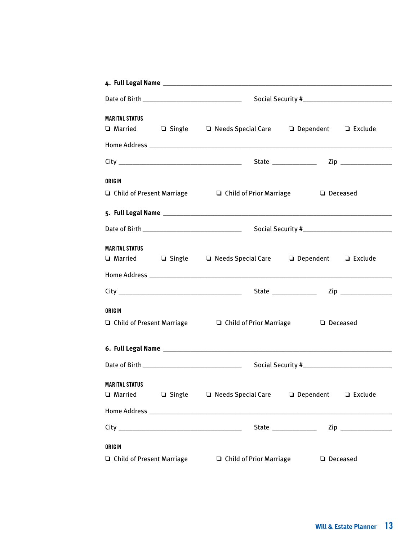| MARITAL STATUS              | □ Married → □ Single → Needs Special Care → □ Dependent → Exclude |
|-----------------------------|-------------------------------------------------------------------|
|                             |                                                                   |
|                             |                                                                   |
| ORIGIN                      |                                                                   |
|                             | □ Child of Present Marriage □ Child of Prior Marriage □ Deceased  |
|                             |                                                                   |
|                             |                                                                   |
| <b>MARITAL STATUS</b>       | □ Married → □ Single → Needs Special Care → □ Dependent → Exclude |
|                             |                                                                   |
| ORIGIN                      | □ Child of Present Marriage □ Child of Prior Marriage □ Deceased  |
|                             |                                                                   |
|                             |                                                                   |
| <b>MARITAL STATUS</b>       | □ Married → □ Single → Needs Special Care → □ Dependent → Exclude |
|                             |                                                                   |
|                             | State _____________                                               |
| ORIGIN                      |                                                                   |
| □ Child of Present Marriage | □ Child of Prior Marriage<br><b>Deceased</b>                      |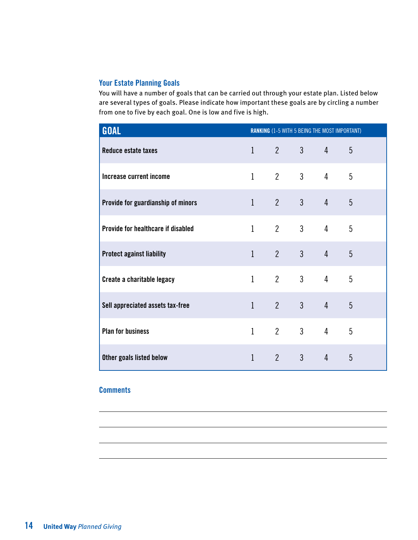#### **Your Estate Planning Goals**

You will have a number of goals that can be carried out through your estate plan. Listed below are several types of goals. Please indicate how important these goals are by circling a number from one to five by each goal. One is low and five is high.

| <b>GOAL</b>                        |              |                                |                   | <b>RANKING (1-5 WITH 5 BEING THE MOST IMPORTANT)</b> |                |
|------------------------------------|--------------|--------------------------------|-------------------|------------------------------------------------------|----------------|
| Reduce estate taxes                |              | $1 \quad 2 \quad 3$            |                   | $\overline{4}$                                       | 5              |
| Increase current income            | $\mathbf{1}$ | $\overline{2}$                 | $3^{\circ}$       | $\overline{4}$                                       | 5              |
| Provide for guardianship of minors | $\mathbf{1}$ | $\overline{2}$                 | $3^{\circ}$       | $\overline{4}$                                       | $5\phantom{.}$ |
| Provide for healthcare if disabled | $\mathbf{1}$ | $2^{\sim}$                     | 3 <sup>7</sup>    | $\overline{4}$                                       | 5              |
| <b>Protect against liability</b>   | $\mathbf{1}$ | $\sim$ 2                       | $3^{\circ}$       | $\overline{4}$                                       | 5              |
| Create a charitable legacy         | $\mathbf{1}$ | $\overline{2}$                 | 3 <sup>7</sup>    | $\overline{4}$                                       | 5              |
| Sell appreciated assets tax-free   | $\mathbf{1}$ | $2 \qquad \qquad$              | $3 \qquad \qquad$ | $\overline{4}$                                       | 5              |
| <b>Plan for business</b>           | $\mathbf{1}$ | $2 \left( \frac{1}{2} \right)$ | 3 <sup>7</sup>    | 4                                                    | 5              |
| Other goals listed below           | $\mathbf{1}$ | $2^{\circ}$                    | $\mathfrak{Z}$    | $\overline{4}$                                       | 5              |

#### **Comments**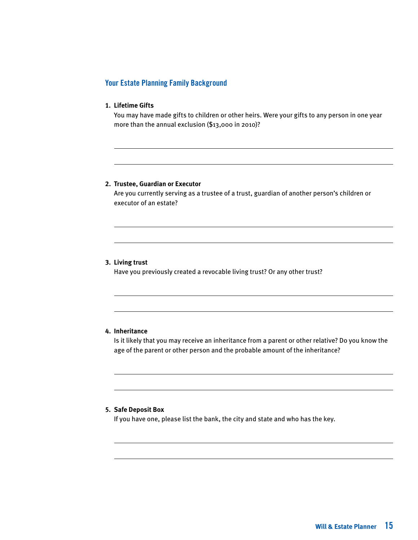#### **Your Estate Planning Family Background**

#### **1. Lifetime Gifts**

You may have made gifts to children or other heirs. Were your gifts to any person in one year more than the annual exclusion (\$13,000 in 2010)?

#### **2. Trustee, Guardian or Executor**

Are you currently serving as a trustee of a trust, guardian of another person's children or executor of an estate?

#### **3. Living trust**

Have you previously created a revocable living trust? Or any other trust?

#### **4. Inheritance**

Is it likely that you may receive an inheritance from a parent or other relative? Do you know the age of the parent or other person and the probable amount of the inheritance?

#### **5. Safe Deposit Box**

If you have one, please list the bank, the city and state and who has the key.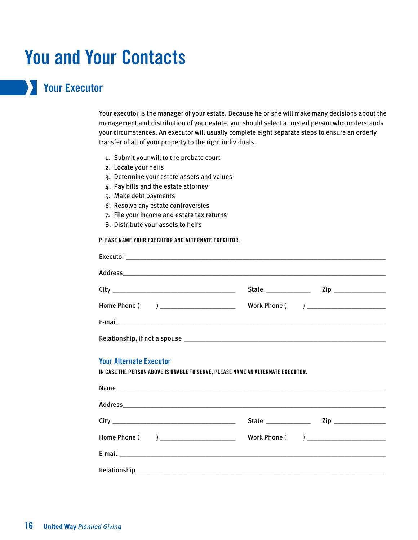# **You and Your Contacts**

### **Your Executor**

Your executor is the manager of your estate. Because he or she will make many decisions about the management and distribution of your estate, you should select a trusted person who understands your circumstances. An executor will usually complete eight separate steps to ensure an orderly transfer of all of your property to the right individuals.

- 1. Submit your will to the probate court
- 2. Locate your heirs
- 3. Determine your estate assets and values
- 4. Pay bills and the estate attorney
- 5. Make debt payments
- 6. Resolve any estate controversies
- 7. File your income and estate tax returns
- 8. Distribute your assets to heirs

#### **Please name your executor and alternate executor.**

| <b>Your Alternate Executor</b><br>IN CASE THE PERSON ABOVE IS UNABLE TO SERVE, PLEASE NAME AN ALTERNATE EXECUTOR. |  |
|-------------------------------------------------------------------------------------------------------------------|--|
|                                                                                                                   |  |
|                                                                                                                   |  |

|                                       | Zip ______________ |
|---------------------------------------|--------------------|
| Home Phone ( ) ______________________ |                    |
|                                       |                    |
|                                       |                    |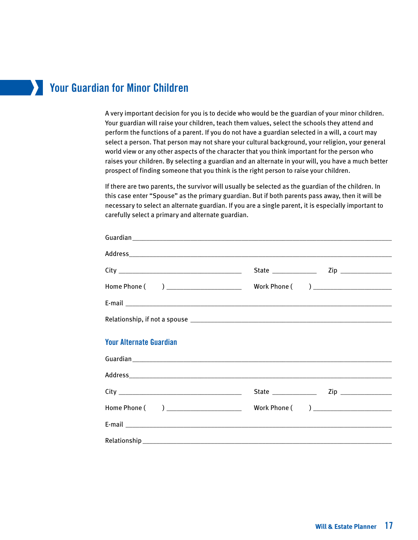### **Your Guardian for Minor Children**

A very important decision for you is to decide who would be the guardian of your minor children. Your guardian will raise your children, teach them values, select the schools they attend and perform the functions of a parent. If you do not have a guardian selected in a will, a court may select a person. That person may not share your cultural background, your religion, your general world view or any other aspects of the character that you think important for the person who raises your children. By selecting a guardian and an alternate in your will, you have a much better prospect of finding someone that you think is the right person to raise your children.

If there are two parents, the survivor will usually be selected as the guardian of the children. In this case enter "Spouse" as the primary guardian. But if both parents pass away, then it will be necessary to select an alternate guardian. If you are a single parent, it is especially important to carefully select a primary and alternate guardian.

| <b>Your Alternate Guardian</b>                                                                                 |  |
|----------------------------------------------------------------------------------------------------------------|--|
| Guardian et al. 2010 and 2010 and 2010 and 2010 and 2010 and 2010 and 2010 and 2010 and 2010 and 2010 and 2010 |  |
|                                                                                                                |  |
|                                                                                                                |  |
|                                                                                                                |  |
|                                                                                                                |  |
|                                                                                                                |  |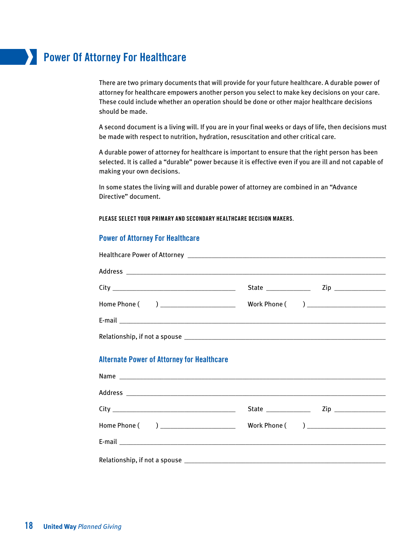### **Power Of Attorney For Healthcare**

There are two primary documents that will provide for your future healthcare. A durable power of attorney for healthcare empowers another person you select to make key decisions on your care. These could include whether an operation should be done or other major healthcare decisions should be made.

A second document is a living will. If you are in your final weeks or days of life, then decisions must be made with respect to nutrition, hydration, resuscitation and other critical care.

A durable power of attorney for healthcare is important to ensure that the right person has been selected. It is called a "durable" power because it is effective even if you are ill and not capable of making your own decisions.

In some states the living will and durable power of attorney are combined in an "Advance Directive" document.

#### **Please select your primary and secondary healthcare decision makers.**

#### **Power of Attorney For Healthcare**

| <b>Alternate Power of Attorney for Healthcare</b> |  |
|---------------------------------------------------|--|
|                                                   |  |
|                                                   |  |
|                                                   |  |
|                                                   |  |
|                                                   |  |
|                                                   |  |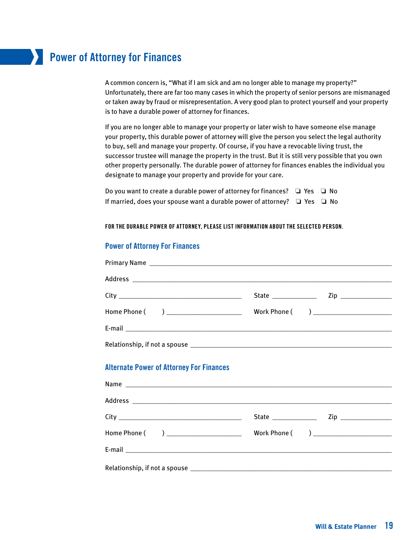### **Power of Attorney for Finances**

A common concern is, "What if I am sick and am no longer able to manage my property?" Unfortunately, there are far too many cases in which the property of senior persons are mismanaged or taken away by fraud or misrepresentation. A very good plan to protect yourself and your property is to have a durable power of attorney for finances.

If you are no longer able to manage your property or later wish to have someone else manage your property, this durable power of attorney will give the person you select the legal authority to buy, sell and manage your property. Of course, if you have a revocable living trust, the successor trustee will manage the property in the trust. But it is still very possible that you own other property personally. The durable power of attorney for finances enables the individual you designate to manage your property and provide for your care.

Do you want to create a durable power of attorney for finances? ❏ Yes ❏ No If married, does your spouse want a durable power of attorney?  $\Box$  Yes  $\Box$  No

#### **For the durable power of attorney, please list information about the selected person.**

#### **Power of Attorney For Finances**

| <b>Alternate Power of Attorney For Finances</b> |  |
|-------------------------------------------------|--|
|                                                 |  |
|                                                 |  |
|                                                 |  |
|                                                 |  |
|                                                 |  |
|                                                 |  |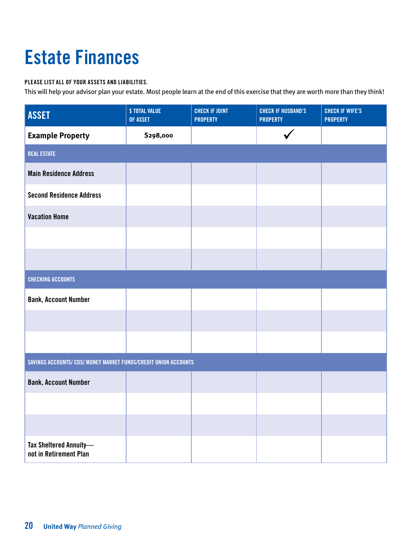# **Estate Finances**

#### **Please list all of your assets and liabilities.**

This will help your advisor plan your estate. Most people learn at the end of this exercise that they are worth more than they think!

| <b>ASSET</b>                                                    | <b>\$TOTAL VALUE</b><br>OF ASSET | <b>CHECK IF JOINT</b><br><b>PROPERTY</b> | <b>CHECK IF HUSBAND'S</b><br><b>PROPERTY</b> | <b>CHECK IF WIFE'S</b><br><b>PROPERTY</b> |
|-----------------------------------------------------------------|----------------------------------|------------------------------------------|----------------------------------------------|-------------------------------------------|
| <b>Example Property</b>                                         | \$298,000                        |                                          |                                              |                                           |
| <b>REAL ESTATE</b>                                              |                                  |                                          |                                              |                                           |
| <b>Main Residence Address</b>                                   |                                  |                                          |                                              |                                           |
| <b>Second Residence Address</b>                                 |                                  |                                          |                                              |                                           |
| <b>Vacation Home</b>                                            |                                  |                                          |                                              |                                           |
|                                                                 |                                  |                                          |                                              |                                           |
|                                                                 |                                  |                                          |                                              |                                           |
| <b>CHECKING ACCOUNTS</b>                                        |                                  |                                          |                                              |                                           |
| <b>Bank, Account Number</b>                                     |                                  |                                          |                                              |                                           |
|                                                                 |                                  |                                          |                                              |                                           |
|                                                                 |                                  |                                          |                                              |                                           |
| SAVINGS ACCOUNTS/ CDS/ MONEY MARKET FUNDS/CREDIT UNION ACCOUNTS |                                  |                                          |                                              |                                           |
| <b>Bank, Account Number</b>                                     |                                  |                                          |                                              |                                           |
|                                                                 |                                  |                                          |                                              |                                           |
|                                                                 |                                  |                                          |                                              |                                           |
| <b>Tax Sheltered Annuity-</b><br>not in Retirement Plan         |                                  |                                          |                                              |                                           |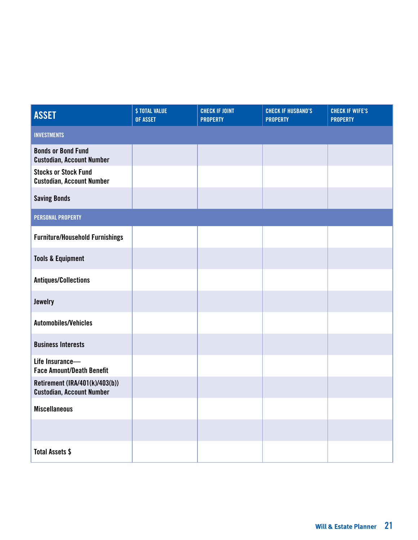| <b>ASSET</b>                                                       | <b>\$TOTAL VALUE</b><br>OF ASSET | <b>CHECK IF JOINT</b><br><b>PROPERTY</b> | <b>CHECK IF HUSBAND'S</b><br><b>PROPERTY</b> | <b>CHECK IF WIFE'S</b><br><b>PROPERTY</b> |
|--------------------------------------------------------------------|----------------------------------|------------------------------------------|----------------------------------------------|-------------------------------------------|
| <b>INVESTMENTS</b>                                                 |                                  |                                          |                                              |                                           |
| <b>Bonds or Bond Fund</b><br><b>Custodian, Account Number</b>      |                                  |                                          |                                              |                                           |
| <b>Stocks or Stock Fund</b><br><b>Custodian, Account Number</b>    |                                  |                                          |                                              |                                           |
| <b>Saving Bonds</b>                                                |                                  |                                          |                                              |                                           |
| <b>PERSONAL PROPERTY</b>                                           |                                  |                                          |                                              |                                           |
| <b>Furniture/Household Furnishings</b>                             |                                  |                                          |                                              |                                           |
| <b>Tools &amp; Equipment</b>                                       |                                  |                                          |                                              |                                           |
| <b>Antiques/Collections</b>                                        |                                  |                                          |                                              |                                           |
| <b>Jewelry</b>                                                     |                                  |                                          |                                              |                                           |
| <b>Automobiles/Vehicles</b>                                        |                                  |                                          |                                              |                                           |
| <b>Business Interests</b>                                          |                                  |                                          |                                              |                                           |
| Life Insurance-<br><b>Face Amount/Death Benefit</b>                |                                  |                                          |                                              |                                           |
| Retirement (IRA/401(k)/403(b))<br><b>Custodian, Account Number</b> |                                  |                                          |                                              |                                           |
| <b>Miscellaneous</b>                                               |                                  |                                          |                                              |                                           |
|                                                                    |                                  |                                          |                                              |                                           |
| <b>Total Assets \$</b>                                             |                                  |                                          |                                              |                                           |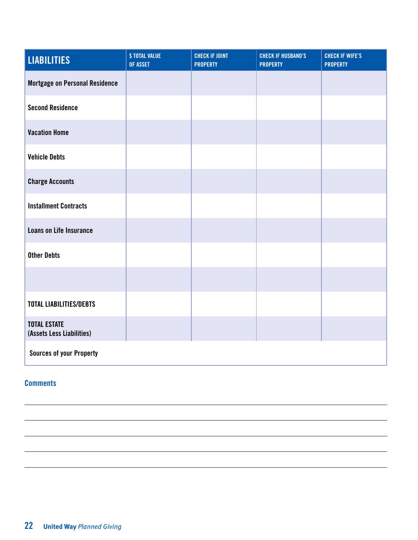| <b>LIABILITIES</b>                               | <b>\$TOTAL VALUE</b><br>OF ASSET | <b>CHECK IF JOINT</b><br><b>PROPERTY</b> | <b>CHECK IF HUSBAND'S</b><br><b>PROPERTY</b> | <b>CHECK IF WIFE'S</b><br><b>PROPERTY</b> |
|--------------------------------------------------|----------------------------------|------------------------------------------|----------------------------------------------|-------------------------------------------|
| Mortgage on Personal Residence                   |                                  |                                          |                                              |                                           |
| <b>Second Residence</b>                          |                                  |                                          |                                              |                                           |
| <b>Vacation Home</b>                             |                                  |                                          |                                              |                                           |
| <b>Vehicle Debts</b>                             |                                  |                                          |                                              |                                           |
| <b>Charge Accounts</b>                           |                                  |                                          |                                              |                                           |
| <b>Installment Contracts</b>                     |                                  |                                          |                                              |                                           |
| <b>Loans on Life Insurance</b>                   |                                  |                                          |                                              |                                           |
| <b>Other Debts</b>                               |                                  |                                          |                                              |                                           |
|                                                  |                                  |                                          |                                              |                                           |
| <b>TOTAL LIABILITIES/DEBTS</b>                   |                                  |                                          |                                              |                                           |
| <b>TOTAL ESTATE</b><br>(Assets Less Liabilities) |                                  |                                          |                                              |                                           |
| <b>Sources of your Property</b>                  |                                  |                                          |                                              |                                           |

#### **Comments**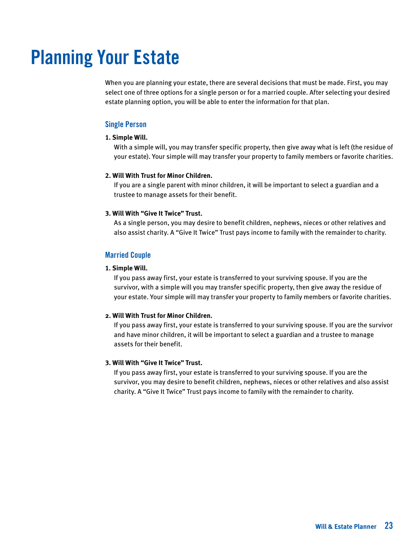# **Planning Your Estate**

When you are planning your estate, there are several decisions that must be made. First, you may select one of three options for a single person or for a married couple. After selecting your desired estate planning option, you will be able to enter the information for that plan.

#### **Single Person**

#### **1. Simple Will.**

With a simple will, you may transfer specific property, then give away what is left (the residue of your estate). Your simple will may transfer your property to family members or favorite charities.

#### **2. Will With Trust for Minor Children.**

If you are a single parent with minor children, it will be important to select a guardian and a trustee to manage assets for their benefit.

#### **3. Will With "Give It Twice" Trust.**

As a single person, you may desire to benefit children, nephews, nieces or other relatives and also assist charity. A "Give It Twice" Trust pays income to family with the remainder to charity.

#### **Married Couple**

#### **1. Simple Will.**

If you pass away first, your estate is transferred to your surviving spouse. If you are the survivor, with a simple will you may transfer specific property, then give away the residue of your estate. Your simple will may transfer your property to family members or favorite charities.

#### **2. Will With Trust for Minor Children.**

If you pass away first, your estate is transferred to your surviving spouse. If you are the survivor and have minor children, it will be important to select a guardian and a trustee to manage assets for their benefit.

#### **3. Will With "Give It Twice" Trust.**

If you pass away first, your estate is transferred to your surviving spouse. If you are the survivor, you may desire to benefit children, nephews, nieces or other relatives and also assist charity. A "Give It Twice" Trust pays income to family with the remainder to charity.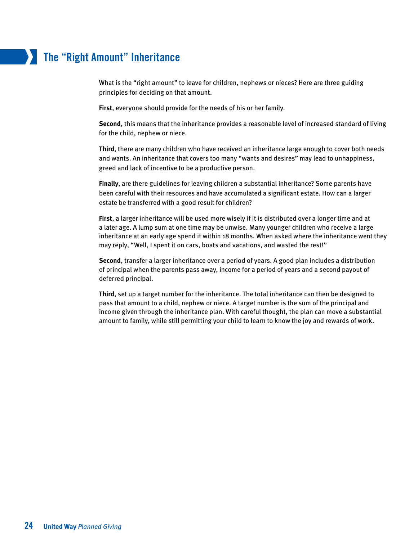### **The "Right Amount" Inheritance**

What is the "right amount" to leave for children, nephews or nieces? Here are three guiding principles for deciding on that amount.

**First**, everyone should provide for the needs of his or her family.

**Second**, this means that the inheritance provides a reasonable level of increased standard of living for the child, nephew or niece.

**Third**, there are many children who have received an inheritance large enough to cover both needs and wants. An inheritance that covers too many "wants and desires" may lead to unhappiness, greed and lack of incentive to be a productive person.

**Finally**, are there guidelines for leaving children a substantial inheritance? Some parents have been careful with their resources and have accumulated a significant estate. How can a larger estate be transferred with a good result for children?

**First**, a larger inheritance will be used more wisely if it is distributed over a longer time and at a later age. A lump sum at one time may be unwise. Many younger children who receive a large inheritance at an early age spend it within 18 months. When asked where the inheritance went they may reply, "Well, I spent it on cars, boats and vacations, and wasted the rest!"

**Second**, transfer a larger inheritance over a period of years. A good plan includes a distribution of principal when the parents pass away, income for a period of years and a second payout of deferred principal.

**Third**, set up a target number for the inheritance. The total inheritance can then be designed to pass that amount to a child, nephew or niece. A target number is the sum of the principal and income given through the inheritance plan. With careful thought, the plan can move a substantial amount to family, while still permitting your child to learn to know the joy and rewards of work.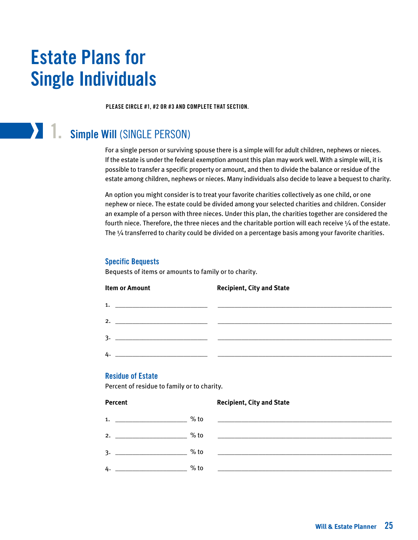# **Estate Plans for Single Individuals**

**Please circle #1, #2 or #3 and complete that section.**

# **1.** Simple Will (SINGLE PERSON)

For a single person or surviving spouse there is a simple will for adult children, nephews or nieces. If the estate is under the federal exemption amount this plan may work well. With a simple will, it is possible to transfer a specific property or amount, and then to divide the balance or residue of the estate among children, nephews or nieces. Many individuals also decide to leave a bequest to charity.

An option you might consider is to treat your favorite charities collectively as one child, or one nephew or niece. The estate could be divided among your selected charities and children. Consider an example of a person with three nieces. Under this plan, the charities together are considered the fourth niece. Therefore, the three nieces and the charitable portion will each receive  $\frac{1}{4}$  of the estate. The 1/4 transferred to charity could be divided on a percentage basis among your favorite charities.

#### **Specific Bequests**

Bequests of items or amounts to family or to charity.

**Item or Amount Recipient, City and State** 

#### **Residue of Estate**

Percent of residue to family or to charity.

**Percent Recipient, City and State** 

| 1.        | % to   | <u> 1989 - Jan Samuel Barbara, margaret e populazion del control del control del control del control de la provi</u>  |
|-----------|--------|-----------------------------------------------------------------------------------------------------------------------|
| $\sim$ 2. | $%$ to | <u> Tantan di Kabupaten Bandara Para Bandar Bandar Bandar Bandar Bandar Bandar Bandar Bandar Bandar Bandar Bandar</u> |
| 3.        | % to   |                                                                                                                       |
| 4.        | $%$ to |                                                                                                                       |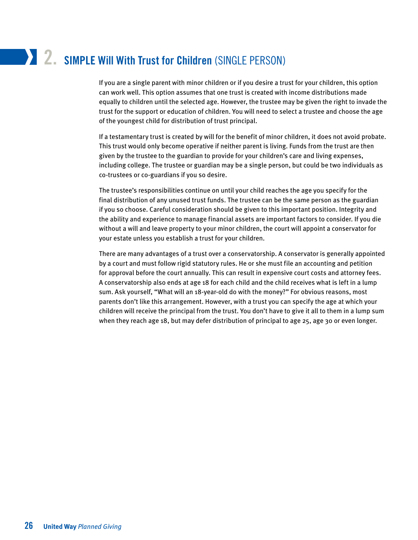# **2. SIMPLE Will With Trust for Children** (SINGLE PERSON)

If you are a single parent with minor children or if you desire a trust for your children, this option can work well. This option assumes that one trust is created with income distributions made equally to children until the selected age. However, the trustee may be given the right to invade the trust for the support or education of children. You will need to select a trustee and choose the age of the youngest child for distribution of trust principal.

If a testamentary trust is created by will for the benefit of minor children, it does not avoid probate. This trust would only become operative if neither parent is living. Funds from the trust are then given by the trustee to the guardian to provide for your children's care and living expenses, including college. The trustee or guardian may be a single person, but could be two individuals as co-trustees or co-guardians if you so desire.

The trustee's responsibilities continue on until your child reaches the age you specify for the final distribution of any unused trust funds. The trustee can be the same person as the guardian if you so choose. Careful consideration should be given to this important position. Integrity and the ability and experience to manage financial assets are important factors to consider. If you die without a will and leave property to your minor children, the court will appoint a conservator for your estate unless you establish a trust for your children.

There are many advantages of a trust over a conservatorship. A conservator is generally appointed by a court and must follow rigid statutory rules. He or she must file an accounting and petition for approval before the court annually. This can result in expensive court costs and attorney fees. A conservatorship also ends at age 18 for each child and the child receives what is left in a lump sum. Ask yourself, "What will an 18-year-old do with the money?" For obvious reasons, most parents don't like this arrangement. However, with a trust you can specify the age at which your children will receive the principal from the trust. You don't have to give it all to them in a lump sum when they reach age 18, but may defer distribution of principal to age 25, age 30 or even longer.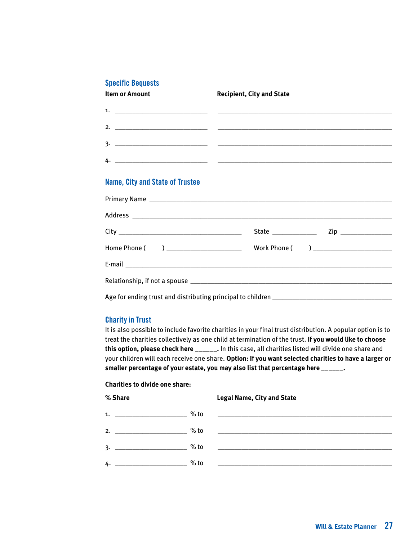#### **Specific Bequests**

**Item or Amount Recipient, City and State** 

| 1. $\qquad \qquad$ |  |
|--------------------|--|
|                    |  |
|                    |  |
|                    |  |
|                    |  |

#### **Name, City and State of Trustee**

#### **Charity in Trust**

It is also possible to include favorite charities in your final trust distribution. A popular option is to treat the charities collectively as one child at termination of the trust. **If you would like to choose this option, please check here \_\_\_\_\_\_.** In this case, all charities listed will divide one share and your children will each receive one share. **Option: If you want selected charities to have a larger or smaller percentage of your estate, you may also list that percentage here \_\_\_\_\_\_.** 

#### **Charities to divide one share:**

### **% Share Legal Name, City and State** 1. \_\_\_\_\_\_\_\_\_\_\_\_\_\_\_\_\_\_\_\_\_ % to \_\_\_\_\_\_\_\_\_\_\_\_\_\_\_\_\_\_\_\_\_\_\_\_\_\_\_\_\_\_\_\_\_\_\_\_\_\_\_\_\_\_\_\_\_\_\_\_\_\_\_ 2. \_\_\_\_\_\_\_\_\_\_\_\_\_\_\_\_\_\_\_\_\_ % to \_\_\_\_\_\_\_\_\_\_\_\_\_\_\_\_\_\_\_\_\_\_\_\_\_\_\_\_\_\_\_\_\_\_\_\_\_\_\_\_\_\_\_\_\_\_\_\_\_\_\_ 3. \_\_\_\_\_\_\_\_\_\_\_\_\_\_\_\_\_\_\_\_\_ % to \_\_\_\_\_\_\_\_\_\_\_\_\_\_\_\_\_\_\_\_\_\_\_\_\_\_\_\_\_\_\_\_\_\_\_\_\_\_\_\_\_\_\_\_\_\_\_\_\_\_\_ 4. \_\_\_\_\_\_\_\_\_\_\_\_\_\_\_\_\_\_\_\_\_ % to \_\_\_\_\_\_\_\_\_\_\_\_\_\_\_\_\_\_\_\_\_\_\_\_\_\_\_\_\_\_\_\_\_\_\_\_\_\_\_\_\_\_\_\_\_\_\_\_\_\_\_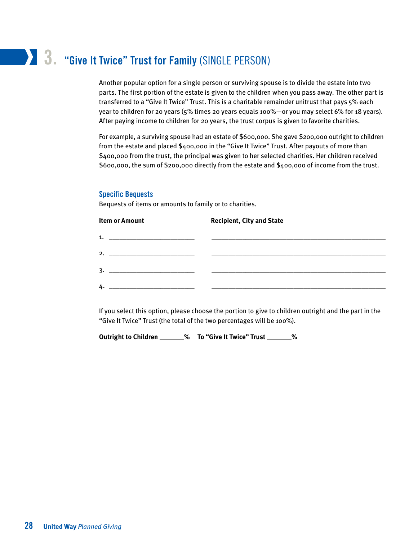# **3. "Give It Twice" Trust for Family (SINGLE PERSON)**

Another popular option for a single person or surviving spouse is to divide the estate into two parts. The first portion of the estate is given to the children when you pass away. The other part is transferred to a "Give It Twice" Trust. This is a charitable remainder unitrust that pays 5% each year to children for 20 years (5% times 20 years equals 100%—or you may select 6% for 18 years). After paying income to children for 20 years, the trust corpus is given to favorite charities.

For example, a surviving spouse had an estate of \$600,000. She gave \$200,000 outright to children from the estate and placed \$400,000 in the "Give It Twice" Trust. After payouts of more than \$400,000 from the trust, the principal was given to her selected charities. Her children received \$600,000, the sum of \$200,000 directly from the estate and \$400,000 of income from the trust.

#### **Specific Bequests**

Bequests of items or amounts to family or to charities.

| <b>Item or Amount</b> | <b>Recipient, City and State</b> |
|-----------------------|----------------------------------|
|                       |                                  |
|                       |                                  |
| 3.                    |                                  |
| 4.                    |                                  |

If you select this option, please choose the portion to give to children outright and the part in the "Give It Twice" Trust (the total of the two percentages will be 100%).

Outright to Children \_\_\_\_\_\_% To "Give It Twice" Trust \_\_\_\_\_\_%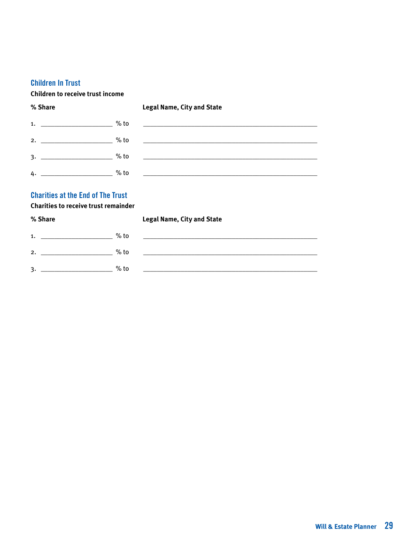#### **Children In Trust**

#### Children to receive trust income

| % Share                                                                                 |      | <b>Legal Name, City and State</b>                                                                                    |
|-----------------------------------------------------------------------------------------|------|----------------------------------------------------------------------------------------------------------------------|
|                                                                                         | % to |                                                                                                                      |
| 2. $\qquad \qquad$                                                                      | % to |                                                                                                                      |
| 3. __________________________ % to                                                      |      | <u> 1990 - Jan James James James James James James James James James James James James James James James James J</u> |
| 4. _______________________________ % to                                                 |      |                                                                                                                      |
| <b>Charities at the End of The Trust</b><br><b>Charities to receive trust remainder</b> |      |                                                                                                                      |
| % Share                                                                                 |      | <b>Legal Name, City and State</b>                                                                                    |

| 1. | $%$ to |  |
|----|--------|--|
| 2. | % to   |  |
| 3. | % to   |  |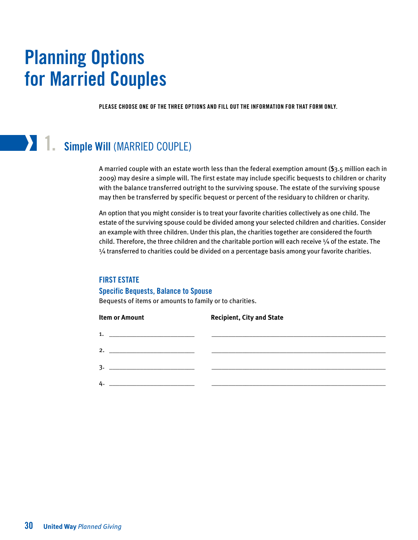# **Planning Options for Married Couples**

**Please choose one of the three options and fill out the information for that form only.**

# **1. Simple Will (MARRIED COUPLE)**

A married couple with an estate worth less than the federal exemption amount (\$3.5 million each in 2009) may desire a simple will. The first estate may include specific bequests to children or charity with the balance transferred outright to the surviving spouse. The estate of the surviving spouse may then be transferred by specific bequest or percent of the residuary to children or charity.

An option that you might consider is to treat your favorite charities collectively as one child. The estate of the surviving spouse could be divided among your selected children and charities. Consider an example with three children. Under this plan, the charities together are considered the fourth child. Therefore, the three children and the charitable portion will each receive  $\frac{1}{4}$  of the estate. The ¼ transferred to charities could be divided on a percentage basis among your favorite charities.

#### **First Estate**

#### **Specific Bequests, Balance to Spouse**

Bequests of items or amounts to family or to charities.

| <b>Item or Amount</b>                                                                                                       | <b>Recipient, City and State</b>                                                                                                                                                                                                          |
|-----------------------------------------------------------------------------------------------------------------------------|-------------------------------------------------------------------------------------------------------------------------------------------------------------------------------------------------------------------------------------------|
|                                                                                                                             |                                                                                                                                                                                                                                           |
|                                                                                                                             |                                                                                                                                                                                                                                           |
|                                                                                                                             | $\overline{\mathbf{3}}$ . The contract of the contract of the contract of the contract of the contract of the contract of the contract of the contract of the contract of the contract of the contract of the contract of the contract of |
| 4.<br><u> Alexandria de la contrada de la contrada de la contrada de la contrada de la contrada de la contrada de la co</u> |                                                                                                                                                                                                                                           |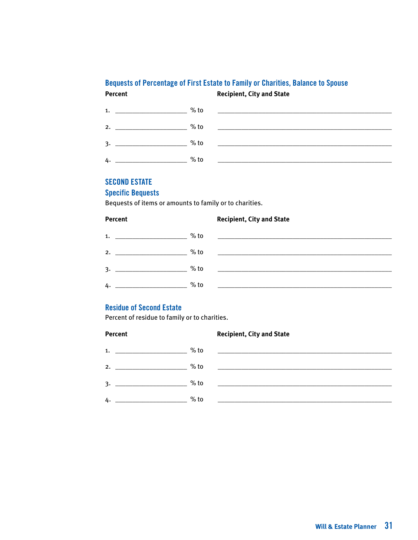#### Bequests of Percentage of First Estate to Family or Charities, Balance to Spouse **Percent**

**Recipient, City and State** 

| 1.    | $%$ to |  |
|-------|--------|--|
| 2.    | $%$ to |  |
| 3.    | $%$ to |  |
| $\mu$ | $%$ to |  |

#### **SECOND ESTATE**

#### **Specific Bequests**

Bequests of items or amounts to family or to charities.

#### **Percent**

#### **Recipient, City and State**

| 1. | $%$ to | <u> 1989 - Johann John Stein, markin fan it fjort fan de ferstjer fan it fjort fan de ferstjer fan de ferstjer f</u> |
|----|--------|----------------------------------------------------------------------------------------------------------------------|
| 2. | % to   |                                                                                                                      |
|    | % to   | <u> 1980 - Johann John Stein, markin f</u>                                                                           |
| 4. | % to   |                                                                                                                      |

#### **Residue of Second Estate**

Percent of residue to family or to charities.

#### Percent

#### **Recipient, City and State**

- 
- 
- 4.  $\frac{\ }{\ }$  % to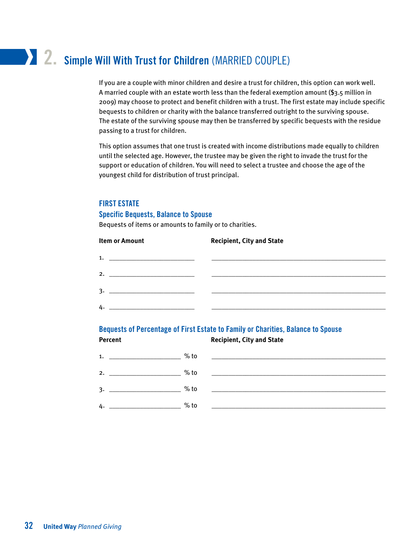# **2.** Simple Will With Trust for Children (MARRIED COUPLE)

If you are a couple with minor children and desire a trust for children, this option can work well. A married couple with an estate worth less than the federal exemption amount (\$3.5 million in 2009) may choose to protect and benefit children with a trust. The first estate may include specific bequests to children or charity with the balance transferred outright to the surviving spouse. The estate of the surviving spouse may then be transferred by specific bequests with the residue passing to a trust for children.

This option assumes that one trust is created with income distributions made equally to children until the selected age. However, the trustee may be given the right to invade the trust for the support or education of children. You will need to select a trustee and choose the age of the youngest child for distribution of trust principal.

#### **First Estate**

#### **Specific Bequests, Balance to Spouse**

Bequests of items or amounts to family or to charities.

| <b>Item or Amount</b>         | <b>Recipient, City and State</b> |
|-------------------------------|----------------------------------|
|                               |                                  |
|                               |                                  |
| 3. __________________________ |                                  |
| 4.                            |                                  |

### **Bequests of Percentage of First Estate to Family or Charities, Balance to Spouse**

**Percent Recipient, City and State**

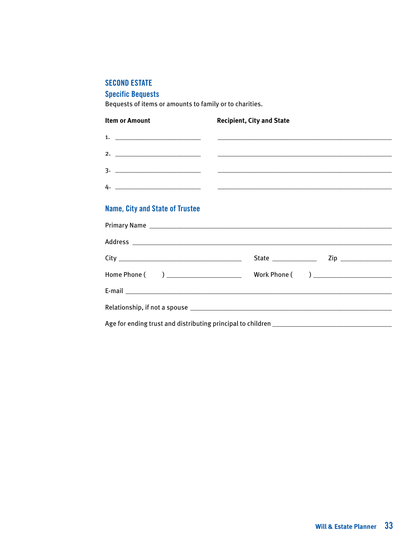#### **SECOND ESTATE**

#### **Specific Bequests**

Bequests of items or amounts to family or to charities.

| <b>Item or Amount</b> | <b>Recipient, City and State</b> |  |
|-----------------------|----------------------------------|--|
|                       |                                  |  |
|                       |                                  |  |
|                       |                                  |  |
|                       |                                  |  |

#### **Name, City and State of Trustee**

| Primary Name <u>experience and the contract of the contract of the contract of the contract of the contract of the contract of the contract of the contract of the contract of the contract of the contract of the contract of t</u> |  |
|--------------------------------------------------------------------------------------------------------------------------------------------------------------------------------------------------------------------------------------|--|
|                                                                                                                                                                                                                                      |  |
|                                                                                                                                                                                                                                      |  |
| Home Phone (   ) ________________________                                                                                                                                                                                            |  |
|                                                                                                                                                                                                                                      |  |
|                                                                                                                                                                                                                                      |  |
| Age for ending trust and distributing principal to children ___________________________                                                                                                                                              |  |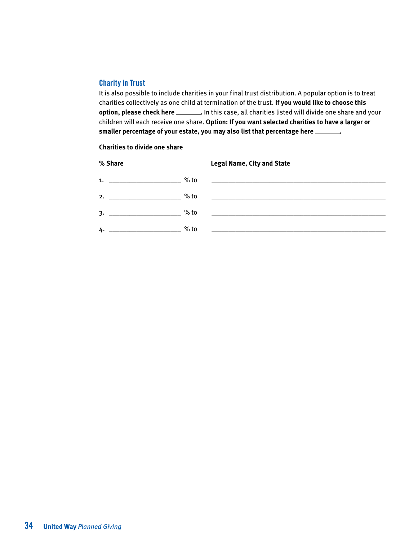#### **Charity in Trust**

It is also possible to include charities in your final trust distribution. A popular option is to treat charities collectively as one child at termination of the trust. **If you would like to choose this**  option, please check here \_\_\_\_\_\_\_\_. In this case, all charities listed will divide one share and your children will each receive one share. **Option: If you want selected charities to have a larger or smaller percentage of your estate, you may also list that percentage here .**

#### **Charities to divide one share**

| % Share              |        | <b>Legal Name, City and State</b>                        |
|----------------------|--------|----------------------------------------------------------|
| $1.$ $\qquad \qquad$ | % to   |                                                          |
| 2. $\qquad \qquad$   | % to   | <u> 1980 - Johann John Stein, marwolaethau (b. 1980)</u> |
|                      | $%$ to |                                                          |
|                      | $%$ to |                                                          |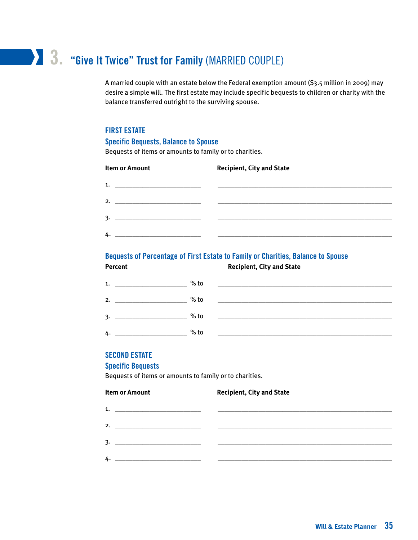# **3. "Give It Twice" Trust for Family (MARRIED COUPLE)**

A married couple with an estate below the Federal exemption amount (\$3.5 million in 2009) may desire a simple will. The first estate may include specific bequests to children or charity with the balance transferred outright to the surviving spouse.

#### **First Estate**

#### **Specific Bequests, Balance to Spouse**

Bequests of items or amounts to family or to charities.

| <b>Item or Amount</b> | <b>Recipient, City and State</b> |
|-----------------------|----------------------------------|
|                       |                                  |
|                       |                                  |
|                       |                                  |
| 4.                    |                                  |

#### **Bequests of Percentage of First Estate to Family or Charities, Balance to Spouse**

| <b>Percent</b>                                                                                                                                                                                                                                                         |        | <b>Recipient, City and State</b>                                                                                      |
|------------------------------------------------------------------------------------------------------------------------------------------------------------------------------------------------------------------------------------------------------------------------|--------|-----------------------------------------------------------------------------------------------------------------------|
| 1. $\sqrt{2}$ = 0.000 $\sqrt{2}$ = 0.000 $\sqrt{2}$ = 0.000 $\sqrt{2}$ = 0.000 $\sqrt{2}$ = 0.000 $\sqrt{2}$ = 0.000 $\sqrt{2}$ = 0.000 $\sqrt{2}$ = 0.000 $\sqrt{2}$ = 0.000 $\sqrt{2}$ = 0.000 $\sqrt{2}$ = 0.000 $\sqrt{2}$ = 0.000 $\sqrt{2}$ = 0.000 $\sqrt{2}$ = | $%$ to | <u> 1980 - Johann Johann Stoff, deutscher Amerikaanse kommunister († 1950)</u>                                        |
|                                                                                                                                                                                                                                                                        | % to   |                                                                                                                       |
|                                                                                                                                                                                                                                                                        | $%$ to |                                                                                                                       |
|                                                                                                                                                                                                                                                                        | $%$ to | <u> 1989 - Jan Sterling von Berling von Berling von Berling von Berling von Berling von Berling von Berling von B</u> |

#### **Second Estate**

#### **Specific Bequests**

Bequests of items or amounts to family or to charities.

| <b>Item or Amount</b> | <b>Recipient, City and State</b> |
|-----------------------|----------------------------------|
|                       |                                  |
|                       |                                  |
|                       |                                  |
|                       |                                  |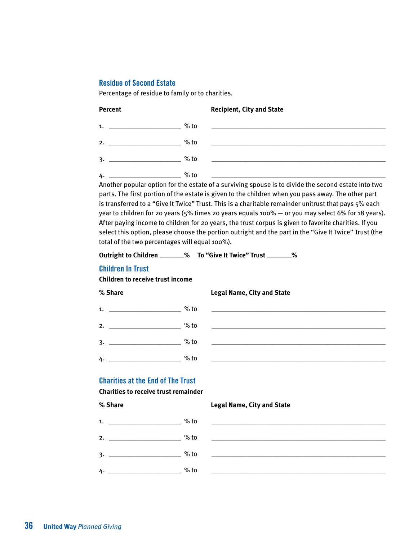#### **Residue of Second Estate**

Percentage of residue to family or to charities.

#### **Percent Recipient, City and State**

| 1. | $%$ to |                                                                                                                      |
|----|--------|----------------------------------------------------------------------------------------------------------------------|
|    |        |                                                                                                                      |
| 2. | $%$ to |                                                                                                                      |
| 3. | $%$ to | <u> 2000 - 2000 - 2000 - 2000 - 2000 - 2000 - 2000 - 2000 - 2000 - 2000 - 2000 - 2000 - 2000 - 2000 - 2000 - 200</u> |
|    | $%$ to |                                                                                                                      |
| 4. |        |                                                                                                                      |

Another popular option for the estate of a surviving spouse is to divide the second estate into two parts. The first portion of the estate is given to the children when you pass away. The other part is transferred to a "Give It Twice" Trust. This is a charitable remainder unitrust that pays 5% each year to children for 20 years (5% times 20 years equals 100% — or you may select 6% for 18 years). After paying income to children for 20 years, the trust corpus is given to favorite charities. If you select this option, please choose the portion outright and the part in the "Give It Twice" Trust (the total of the two percentages will equal 100%).

Outright to Children \_\_\_\_\_\_% To "Give It Twice" Trust \_\_\_\_\_\_%

#### **Children In Trust**

#### **Children to receive trust income**

#### **% Share Legal Name, City and State**

| 1. | % to   |  |
|----|--------|--|
| 2. | $%$ to |  |
| 3. | $%$ to |  |
| 4. | % to   |  |

#### **Charities at the End of The Trust**

**Charities to receive trust remainder** 

#### **% Share Legal Name, City and State**



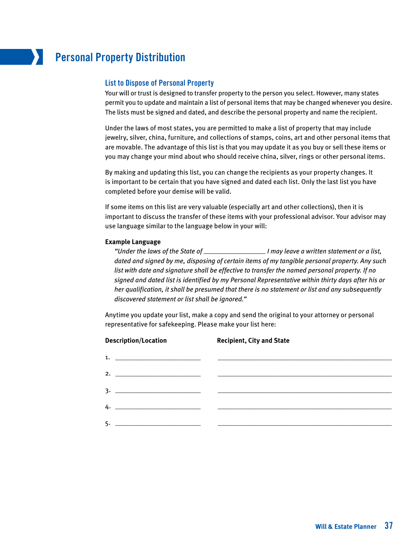### **Personal Property Distribution**

#### **List to Dispose of Personal Property**

Your will or trust is designed to transfer property to the person you select. However, many states permit you to update and maintain a list of personal items that may be changed whenever you desire. The lists must be signed and dated, and describe the personal property and name the recipient.

Under the laws of most states, you are permitted to make a list of property that may include jewelry, silver, china, furniture, and collections of stamps, coins, art and other personal items that are movable. The advantage of this list is that you may update it as you buy or sell these items or you may change your mind about who should receive china, silver, rings or other personal items.

By making and updating this list, you can change the recipients as your property changes. It is important to be certain that you have signed and dated each list. Only the last list you have completed before your demise will be valid.

If some items on this list are very valuable (especially art and other collections), then it is important to discuss the transfer of these items with your professional advisor. Your advisor may use language similar to the language below in your will:

#### **Example Language**

*"Under the laws of the State of I may leave a written statement or a list, dated and signed by me, disposing of certain items of my tangible personal property. Any such list with date and signature shall be effective to transfer the named personal property. If no signed and dated list is identified by my Personal Representative within thirty days after his or her qualification, it shall be presumed that there is no statement or list and any subsequently discovered statement or list shall be ignored."*

Anytime you update your list, make a copy and send the original to your attorney or personal representative for safekeeping. Please make your list here:

| <b>Description/Location</b> | <b>Recipient, City and State</b> |
|-----------------------------|----------------------------------|
|                             |                                  |
|                             | 2. $\qquad \qquad \qquad$        |
|                             |                                  |
|                             |                                  |
| 5.                          |                                  |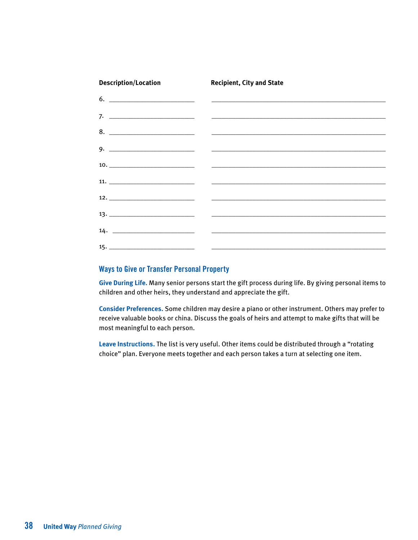| <b>Description/Location</b> | <b>Recipient, City and State</b> |
|-----------------------------|----------------------------------|
|                             | $\overline{\phantom{a}}$         |
|                             | 7. $\overline{\phantom{a}}$      |
|                             |                                  |
|                             |                                  |
|                             | $\frac{10}{2}$                   |
|                             |                                  |
|                             | $\frac{12.6}{2}$                 |
|                             |                                  |
|                             |                                  |
|                             |                                  |

#### **Ways to Give or Transfer Personal Property**

**Give During Life.** Many senior persons start the gift process during life. By giving personal items to children and other heirs, they understand and appreciate the gift.

**Consider Preferences.** Some children may desire a piano or other instrument. Others may prefer to receive valuable books or china. Discuss the goals of heirs and attempt to make gifts that will be most meaningful to each person.

**Leave Instructions.** The list is very useful. Other items could be distributed through a "rotating choice" plan. Everyone meets together and each person takes a turn at selecting one item.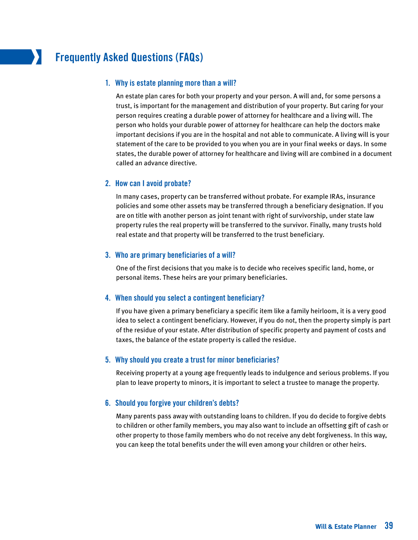### **Frequently Asked Questions (FAQs)**

#### **1. Why is estate planning more than a will?**

An estate plan cares for both your property and your person. A will and, for some persons a trust, is important for the management and distribution of your property. But caring for your person requires creating a durable power of attorney for healthcare and a living will. The person who holds your durable power of attorney for healthcare can help the doctors make important decisions if you are in the hospital and not able to communicate. A living will is your statement of the care to be provided to you when you are in your final weeks or days. In some states, the durable power of attorney for healthcare and living will are combined in a document called an advance directive.

#### **2. How can I avoid probate?**

In many cases, property can be transferred without probate. For example IRAs, insurance policies and some other assets may be transferred through a beneficiary designation. If you are on title with another person as joint tenant with right of survivorship, under state law property rules the real property will be transferred to the survivor. Finally, many trusts hold real estate and that property will be transferred to the trust beneficiary.

#### **3. Who are primary beneficiaries of a will?**

One of the first decisions that you make is to decide who receives specific land, home, or personal items. These heirs are your primary beneficiaries.

#### **4. When should you select a contingent beneficiary?**

If you have given a primary beneficiary a specific item like a family heirloom, it is a very good idea to select a contingent beneficiary. However, if you do not, then the property simply is part of the residue of your estate. After distribution of specific property and payment of costs and taxes, the balance of the estate property is called the residue.

#### **5. Why should you create a trust for minor beneficiaries?**

Receiving property at a young age frequently leads to indulgence and serious problems. If you plan to leave property to minors, it is important to select a trustee to manage the property.

#### **6. Should you forgive your children's debts?**

Many parents pass away with outstanding loans to children. If you do decide to forgive debts to children or other family members, you may also want to include an offsetting gift of cash or other property to those family members who do not receive any debt forgiveness. In this way, you can keep the total benefits under the will even among your children or other heirs.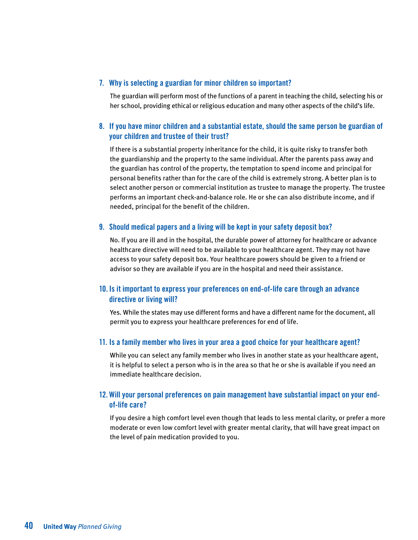#### **7. Why is selecting a guardian for minor children so important?**

The guardian will perform most of the functions of a parent in teaching the child, selecting his or her school, providing ethical or religious education and many other aspects of the child's life.

#### **8. If you have minor children and a substantial estate, should the same person be guardian of your children and trustee of their trust?**

If there is a substantial property inheritance for the child, it is quite risky to transfer both the guardianship and the property to the same individual. After the parents pass away and the guardian has control of the property, the temptation to spend income and principal for personal benefits rather than for the care of the child is extremely strong. A better plan is to select another person or commercial institution as trustee to manage the property. The trustee performs an important check-and-balance role. He or she can also distribute income, and if needed, principal for the benefit of the children.

#### **9. Should medical papers and a living will be kept in your safety deposit box?**

No. If you are ill and in the hospital, the durable power of attorney for healthcare or advance healthcare directive will need to be available to your healthcare agent. They may not have access to your safety deposit box. Your healthcare powers should be given to a friend or advisor so they are available if you are in the hospital and need their assistance.

#### **10. Is it important to express your preferences on end-of-life care through an advance directive or living will?**

Yes. While the states may use different forms and have a different name for the document, all permit you to express your healthcare preferences for end of life.

#### **11. Is a family member who lives in your area a good choice for your healthcare agent?**

While you can select any family member who lives in another state as your healthcare agent, it is helpful to select a person who is in the area so that he or she is available if you need an immediate healthcare decision.

#### **12. Will your personal preferences on pain management have substantial impact on your endof-life care?**

If you desire a high comfort level even though that leads to less mental clarity, or prefer a more moderate or even low comfort level with greater mental clarity, that will have great impact on the level of pain medication provided to you.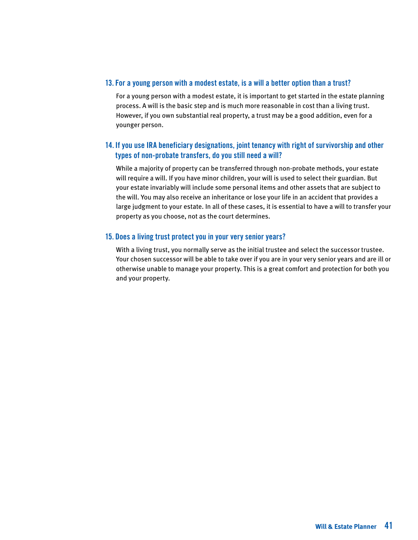#### **13. For a young person with a modest estate, is a will a better option than a trust?**

For a young person with a modest estate, it is important to get started in the estate planning process. A will is the basic step and is much more reasonable in cost than a living trust. However, if you own substantial real property, a trust may be a good addition, even for a younger person.

#### **14. If you use IRA beneficiary designations, joint tenancy with right of survivorship and other types of non-probate transfers, do you still need a will?**

While a majority of property can be transferred through non-probate methods, your estate will require a will. If you have minor children, your will is used to select their guardian. But your estate invariably will include some personal items and other assets that are subject to the will. You may also receive an inheritance or lose your life in an accident that provides a large judgment to your estate. In all of these cases, it is essential to have a will to transfer your property as you choose, not as the court determines.

#### **15. Does a living trust protect you in your very senior years?**

With a living trust, you normally serve as the initial trustee and select the successor trustee. Your chosen successor will be able to take over if you are in your very senior years and are ill or otherwise unable to manage your property. This is a great comfort and protection for both you and your property.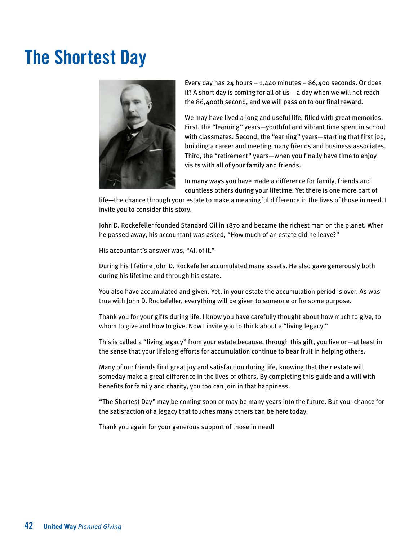# **The Shortest Day**



Every day has  $24$  hours  $-1,440$  minutes  $-86,400$  seconds. Or does it? A short day is coming for all of us – a day when we will not reach the 86,400th second, and we will pass on to our final reward.

We may have lived a long and useful life, filled with great memories. First, the "learning" years—youthful and vibrant time spent in school with classmates. Second, the "earning" years—starting that first job, building a career and meeting many friends and business associates. Third, the "retirement" years—when you finally have time to enjoy visits with all of your family and friends.

In many ways you have made a difference for family, friends and countless others during your lifetime. Yet there is one more part of

life—the chance through your estate to make a meaningful difference in the lives of those in need. I invite you to consider this story.

John D. Rockefeller founded Standard Oil in 1870 and became the richest man on the planet. When he passed away, his accountant was asked, "How much of an estate did he leave?"

His accountant's answer was, "All of it."

During his lifetime John D. Rockefeller accumulated many assets. He also gave generously both during his lifetime and through his estate.

You also have accumulated and given. Yet, in your estate the accumulation period is over. As was true with John D. Rockefeller, everything will be given to someone or for some purpose.

Thank you for your gifts during life. I know you have carefully thought about how much to give, to whom to give and how to give. Now I invite you to think about a "living legacy."

This is called a "living legacy" from your estate because, through this gift, you live on—at least in the sense that your lifelong efforts for accumulation continue to bear fruit in helping others.

Many of our friends find great joy and satisfaction during life, knowing that their estate will someday make a great difference in the lives of others. By completing this guide and a will with benefits for family and charity, you too can join in that happiness.

"The Shortest Day" may be coming soon or may be many years into the future. But your chance for the satisfaction of a legacy that touches many others can be here today.

Thank you again for your generous support of those in need!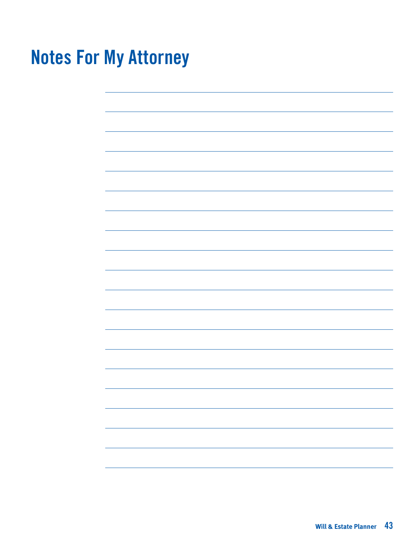# **Notes For My Attorney**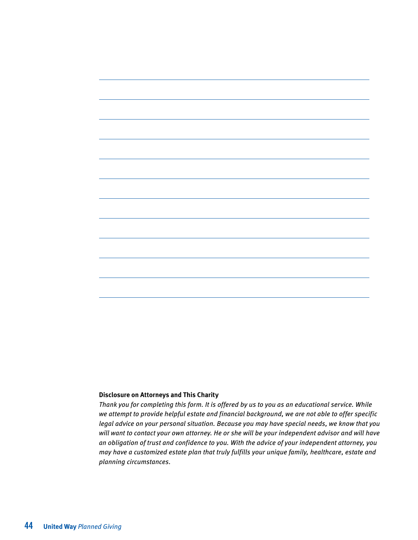

#### **Disclosure on Attorneys and This Charity**

*Thank you for completing this form. It is offered by us to you as an educational service. While we attempt to provide helpful estate and financial background, we are not able to offer specific legal advice on your personal situation. Because you may have special needs, we know that you will want to contact your own attorney. He or she will be your independent advisor and will have an obligation of trust and confidence to you. With the advice of your independent attorney, you may have a customized estate plan that truly fulfills your unique family, healthcare, estate and planning circumstances.*